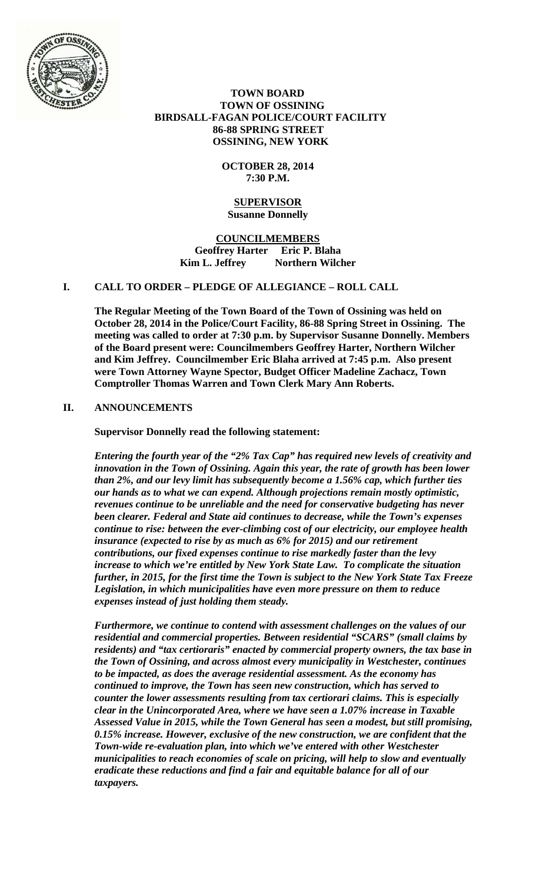

 **TOWN BOARD TOWN OF OSSINING BIRDSALL-FAGAN POLICE/COURT FACILITY 86-88 SPRING STREET OSSINING, NEW YORK** 

> **OCTOBER 28, 2014 7:30 P.M.**

#### **SUPERVISOR Susanne Donnelly**

**COUNCILMEMBERS Geoffrey Harter Eric P. Blaha**  Kim L. Jeffrey Northern Wilcher

# **I. CALL TO ORDER – PLEDGE OF ALLEGIANCE – ROLL CALL**

**The Regular Meeting of the Town Board of the Town of Ossining was held on October 28, 2014 in the Police/Court Facility, 86-88 Spring Street in Ossining. The meeting was called to order at 7:30 p.m. by Supervisor Susanne Donnelly. Members of the Board present were: Councilmembers Geoffrey Harter, Northern Wilcher and Kim Jeffrey. Councilmember Eric Blaha arrived at 7:45 p.m. Also present were Town Attorney Wayne Spector, Budget Officer Madeline Zachacz, Town Comptroller Thomas Warren and Town Clerk Mary Ann Roberts.** 

# **II. ANNOUNCEMENTS**

**Supervisor Donnelly read the following statement:** 

*Entering the fourth year of the "2% Tax Cap" has required new levels of creativity and innovation in the Town of Ossining. Again this year, the rate of growth has been lower than 2%, and our levy limit has subsequently become a 1.56% cap, which further ties our hands as to what we can expend. Although projections remain mostly optimistic, revenues continue to be unreliable and the need for conservative budgeting has never been clearer. Federal and State aid continues to decrease, while the Town's expenses continue to rise: between the ever-climbing cost of our electricity, our employee health insurance (expected to rise by as much as 6% for 2015) and our retirement contributions, our fixed expenses continue to rise markedly faster than the levy increase to which we're entitled by New York State Law. To complicate the situation further, in 2015, for the first time the Town is subject to the New York State Tax Freeze Legislation, in which municipalities have even more pressure on them to reduce expenses instead of just holding them steady.* 

*Furthermore, we continue to contend with assessment challenges on the values of our residential and commercial properties. Between residential "SCARS" (small claims by residents) and "tax certioraris" enacted by commercial property owners, the tax base in the Town of Ossining, and across almost every municipality in Westchester, continues to be impacted, as does the average residential assessment. As the economy has continued to improve, the Town has seen new construction, which has served to counter the lower assessments resulting from tax certiorari claims. This is especially clear in the Unincorporated Area, where we have seen a 1.07% increase in Taxable Assessed Value in 2015, while the Town General has seen a modest, but still promising, 0.15% increase. However, exclusive of the new construction, we are confident that the Town-wide re-evaluation plan, into which we've entered with other Westchester municipalities to reach economies of scale on pricing, will help to slow and eventually eradicate these reductions and find a fair and equitable balance for all of our taxpayers.*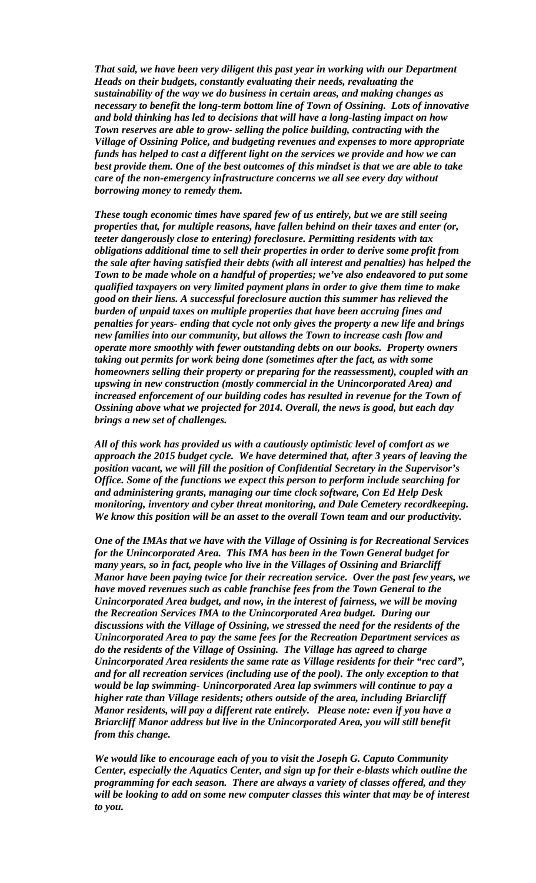*That said, we have been very diligent this past year in working with our Department Heads on their budgets, constantly evaluating their needs, revaluating the sustainability of the way we do business in certain areas, and making changes as necessary to benefit the long-term bottom line of Town of Ossining. Lots of innovative and bold thinking has led to decisions that will have a long-lasting impact on how Town reserves are able to grow- selling the police building, contracting with the Village of Ossining Police, and budgeting revenues and expenses to more appropriate funds has helped to cast a different light on the services we provide and how we can best provide them. One of the best outcomes of this mindset is that we are able to take care of the non-emergency infrastructure concerns we all see every day without borrowing money to remedy them.* 

*These tough economic times have spared few of us entirely, but we are still seeing properties that, for multiple reasons, have fallen behind on their taxes and enter (or, teeter dangerously close to entering) foreclosure. Permitting residents with tax obligations additional time to sell their properties in order to derive some profit from the sale after having satisfied their debts (with all interest and penalties) has helped the Town to be made whole on a handful of properties; we've also endeavored to put some qualified taxpayers on very limited payment plans in order to give them time to make good on their liens. A successful foreclosure auction this summer has relieved the burden of unpaid taxes on multiple properties that have been accruing fines and penalties for years- ending that cycle not only gives the property a new life and brings new families into our community, but allows the Town to increase cash flow and operate more smoothly with fewer outstanding debts on our books. Property owners taking out permits for work being done (sometimes after the fact, as with some homeowners selling their property or preparing for the reassessment), coupled with an upswing in new construction (mostly commercial in the Unincorporated Area) and increased enforcement of our building codes has resulted in revenue for the Town of Ossining above what we projected for 2014. Overall, the news is good, but each day brings a new set of challenges.* 

*All of this work has provided us with a cautiously optimistic level of comfort as we approach the 2015 budget cycle. We have determined that, after 3 years of leaving the position vacant, we will fill the position of Confidential Secretary in the Supervisor's Office. Some of the functions we expect this person to perform include searching for and administering grants, managing our time clock software, Con Ed Help Desk monitoring, inventory and cyber threat monitoring, and Dale Cemetery recordkeeping. We know this position will be an asset to the overall Town team and our productivity.* 

*One of the IMAs that we have with the Village of Ossining is for Recreational Services for the Unincorporated Area. This IMA has been in the Town General budget for many years, so in fact, people who live in the Villages of Ossining and Briarcliff Manor have been paying twice for their recreation service. Over the past few years, we have moved revenues such as cable franchise fees from the Town General to the Unincorporated Area budget, and now, in the interest of fairness, we will be moving the Recreation Services IMA to the Unincorporated Area budget. During our discussions with the Village of Ossining, we stressed the need for the residents of the Unincorporated Area to pay the same fees for the Recreation Department services as do the residents of the Village of Ossining. The Village has agreed to charge Unincorporated Area residents the same rate as Village residents for their "rec card", and for all recreation services (including use of the pool). The only exception to that would be lap swimming- Unincorporated Area lap swimmers will continue to pay a higher rate than Village residents; others outside of the area, including Briarcliff Manor residents, will pay a different rate entirely. Please note: even if you have a Briarcliff Manor address but live in the Unincorporated Area, you will still benefit from this change.* 

*We would like to encourage each of you to visit the Joseph G. Caputo Community Center, especially the Aquatics Center, and sign up for their e-blasts which outline the programming for each season. There are always a variety of classes offered, and they will be looking to add on some new computer classes this winter that may be of interest to you.*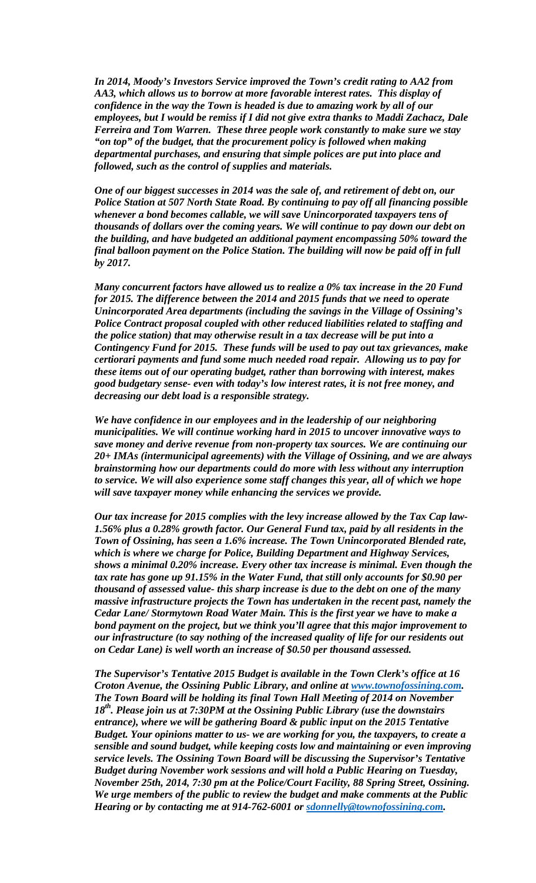*In 2014, Moody's Investors Service improved the Town's credit rating to AA2 from AA3, which allows us to borrow at more favorable interest rates. This display of confidence in the way the Town is headed is due to amazing work by all of our employees, but I would be remiss if I did not give extra thanks to Maddi Zachacz, Dale Ferreira and Tom Warren. These three people work constantly to make sure we stay "on top" of the budget, that the procurement policy is followed when making departmental purchases, and ensuring that simple polices are put into place and followed, such as the control of supplies and materials.* 

*One of our biggest successes in 2014 was the sale of, and retirement of debt on, our Police Station at 507 North State Road. By continuing to pay off all financing possible whenever a bond becomes callable, we will save Unincorporated taxpayers tens of thousands of dollars over the coming years. We will continue to pay down our debt on the building, and have budgeted an additional payment encompassing 50% toward the final balloon payment on the Police Station. The building will now be paid off in full by 2017.* 

*Many concurrent factors have allowed us to realize a 0% tax increase in the 20 Fund for 2015. The difference between the 2014 and 2015 funds that we need to operate Unincorporated Area departments (including the savings in the Village of Ossining's Police Contract proposal coupled with other reduced liabilities related to staffing and the police station) that may otherwise result in a tax decrease will be put into a Contingency Fund for 2015. These funds will be used to pay out tax grievances, make certiorari payments and fund some much needed road repair. Allowing us to pay for these items out of our operating budget, rather than borrowing with interest, makes good budgetary sense- even with today's low interest rates, it is not free money, and decreasing our debt load is a responsible strategy.* 

*We have confidence in our employees and in the leadership of our neighboring municipalities. We will continue working hard in 2015 to uncover innovative ways to save money and derive revenue from non-property tax sources. We are continuing our 20+ IMAs (intermunicipal agreements) with the Village of Ossining, and we are always brainstorming how our departments could do more with less without any interruption to service. We will also experience some staff changes this year, all of which we hope will save taxpayer money while enhancing the services we provide.* 

*Our tax increase for 2015 complies with the levy increase allowed by the Tax Cap law-1.56% plus a 0.28% growth factor. Our General Fund tax, paid by all residents in the Town of Ossining, has seen a 1.6% increase. The Town Unincorporated Blended rate, which is where we charge for Police, Building Department and Highway Services, shows a minimal 0.20% increase. Every other tax increase is minimal. Even though the tax rate has gone up 91.15% in the Water Fund, that still only accounts for \$0.90 per thousand of assessed value- this sharp increase is due to the debt on one of the many massive infrastructure projects the Town has undertaken in the recent past, namely the Cedar Lane/ Stormytown Road Water Main. This is the first year we have to make a bond payment on the project, but we think you'll agree that this major improvement to our infrastructure (to say nothing of the increased quality of life for our residents out on Cedar Lane) is well worth an increase of \$0.50 per thousand assessed.* 

*The Supervisor's Tentative 2015 Budget is available in the Town Clerk's office at 16 Croton Avenue, the Ossining Public Library, and online at www.townofossining.com. The Town Board will be holding its final Town Hall Meeting of 2014 on November 18th. Please join us at 7:30PM at the Ossining Public Library (use the downstairs entrance), where we will be gathering Board & public input on the 2015 Tentative Budget. Your opinions matter to us- we are working for you, the taxpayers, to create a sensible and sound budget, while keeping costs low and maintaining or even improving service levels. The Ossining Town Board will be discussing the Supervisor's Tentative Budget during November work sessions and will hold a Public Hearing on Tuesday, November 25th, 2014, 7:30 pm at the Police/Court Facility, 88 Spring Street, Ossining. We urge members of the public to review the budget and make comments at the Public Hearing or by contacting me at 914-762-6001 or sdonnelly@townofossining.com.*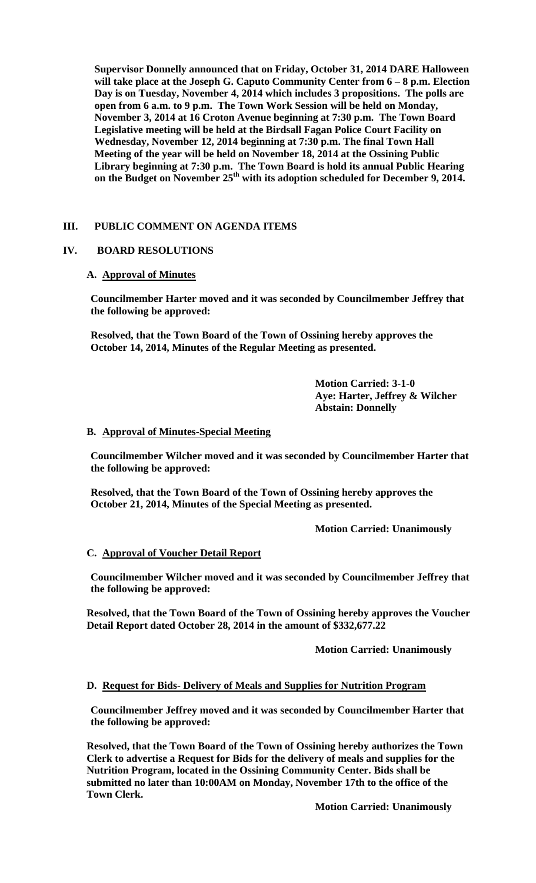**Supervisor Donnelly announced that on Friday, October 31, 2014 DARE Halloween will take place at the Joseph G. Caputo Community Center from 6 – 8 p.m. Election Day is on Tuesday, November 4, 2014 which includes 3 propositions. The polls are open from 6 a.m. to 9 p.m. The Town Work Session will be held on Monday, November 3, 2014 at 16 Croton Avenue beginning at 7:30 p.m. The Town Board Legislative meeting will be held at the Birdsall Fagan Police Court Facility on Wednesday, November 12, 2014 beginning at 7:30 p.m. The final Town Hall Meeting of the year will be held on November 18, 2014 at the Ossining Public Library beginning at 7:30 p.m. The Town Board is hold its annual Public Hearing**  on the Budget on November 25<sup>th</sup> with its adoption scheduled for December 9, 2014.

### **III. PUBLIC COMMENT ON AGENDA ITEMS**

### **IV. BOARD RESOLUTIONS**

#### **A. Approval of Minutes**

**Councilmember Harter moved and it was seconded by Councilmember Jeffrey that the following be approved:** 

**Resolved, that the Town Board of the Town of Ossining hereby approves the October 14, 2014, Minutes of the Regular Meeting as presented.** 

> **Motion Carried: 3-1-0 Aye: Harter, Jeffrey & Wilcher Abstain: Donnelly**

#### **B. Approval of Minutes-Special Meeting**

**Councilmember Wilcher moved and it was seconded by Councilmember Harter that the following be approved:** 

**Resolved, that the Town Board of the Town of Ossining hereby approves the October 21, 2014, Minutes of the Special Meeting as presented.** 

 **Motion Carried: Unanimously** 

#### **C. Approval of Voucher Detail Report**

**Councilmember Wilcher moved and it was seconded by Councilmember Jeffrey that the following be approved:** 

**Resolved, that the Town Board of the Town of Ossining hereby approves the Voucher Detail Report dated October 28, 2014 in the amount of \$332,677.22** 

 **Motion Carried: Unanimously** 

#### **D. Request for Bids- Delivery of Meals and Supplies for Nutrition Program**

**Councilmember Jeffrey moved and it was seconded by Councilmember Harter that the following be approved:** 

**Resolved, that the Town Board of the Town of Ossining hereby authorizes the Town Clerk to advertise a Request for Bids for the delivery of meals and supplies for the Nutrition Program, located in the Ossining Community Center. Bids shall be submitted no later than 10:00AM on Monday, November 17th to the office of the Town Clerk.** 

 **Motion Carried: Unanimously**